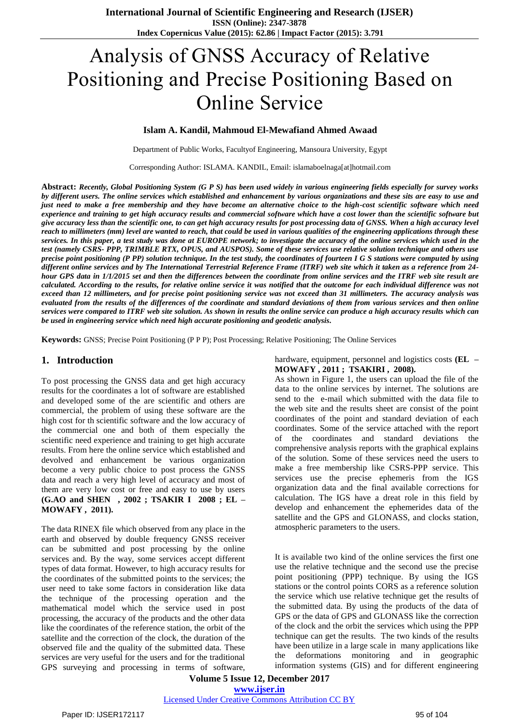# Analysis of GNSS Accuracy of Relative Positioning and Precise Positioning Based on Online Service

#### **Islam A. Kandil, Mahmoud El-Mewafiand Ahmed Awaad**

Department of Public Works, Facultyof Engineering, Mansoura University, Egypt

Corresponding Author: ISLAMA. KANDIL, Email: islamaboelnaga[at]hotmail.com

**Abstract:** *Recently, Global Positioning System (G P S) has been used widely in various engineering fields especially for survey works by different users. The online services which established and enhancement by various organizations and these sits are easy to use and just need to make a free membership and they have become an alternative choice to the high-cost scientific software which need experience and training to get high accuracy results and commercial software which have a cost lower than the scientific software but give accuracy less than the scientific one, to can get high accuracy results for post processing data of GNSS. When a high accuracy level reach to millimeters (mm) level are wanted to reach, that could be used in various qualities of the engineering applications through these services. In this paper, a test study was done at EUROPE network; to investigate the accuracy of the online services which used in the test (namely CSRS- PPP, TRIMBLE RTX, OPUS, and AUSPOS). Some of these services use relative solution technique and others use precise point positioning (P PP) solution technique. In the test study, the coordinates of fourteen I G S stations were computed by using different online services and by The International Terrestrial Reference Frame (ITRF) web site which it taken as a reference from 24 hour GPS data in 1/1/2015 set and then the differences between the coordinate from online services and the ITRF web site result are calculated. According to the results, for relative online service it was notified that the outcome for each individual difference was not exceed than 12 millimeters, and for precise point positioning service was not exceed than 31 millimeters. The accuracy analysis was evaluated from the results of the differences of the coordinate and standard deviations of them from various services and then online services were compared to ITRF web site solution. As shown in results the online service can produce a high accuracy results which can be used in engineering service which need high accurate positioning and geodetic analysis.*

**Keywords:** GNSS; Precise Point Positioning (P P P); Post Processing; Relative Positioning; The Online Services

#### **1. Introduction**

To post processing the GNSS data and get high accuracy results for the coordinates a lot of software are established and developed some of the are scientific and others are commercial, the problem of using these software are the high cost for th scientific software and the low accuracy of the commercial one and both of them especially the scientific need experience and training to get high accurate results. From here the online service which established and devolved and enhancement be various organization become a very public choice to post process the GNSS data and reach a very high level of accuracy and most of them are very low cost or free and easy to use by users **(G.AO and SHEN , 2002 ; TSAKIR I 2008 ; EL – MOWAFY , 2011).**

The data RINEX file which observed from any place in the earth and observed by double frequency GNSS receiver can be submitted and post processing by the online services and. By the way, some services accept different types of data format. However, to high accuracy results for the coordinates of the submitted points to the services; the user need to take some factors in consideration like data the technique of the processing operation and the mathematical model which the service used in post processing, the accuracy of the products and the other data like the coordinates of the reference station, the orbit of the satellite and the correction of the clock, the duration of the observed file and the quality of the submitted data. These services are very useful for the users and for the traditional GPS surveying and processing in terms of software, hardware, equipment, personnel and logistics costs **(EL – MOWAFY , 2011 ; TSAKIRI , 2008).**

As shown in Figure 1, the users can upload the file of the data to the online services by internet. The solutions are send to the e-mail which submitted with the data file to the web site and the results sheet are consist of the point coordinates of the point and standard deviation of each coordinates. Some of the service attached with the report of the coordinates and standard deviations the comprehensive analysis reports with the graphical explains of the solution. Some of these services need the users to make a free membership like CSRS-PPP service. This services use the precise ephemeris from the IGS organization data and the final available corrections for calculation. The IGS have a dreat role in this field by develop and enhancement the ephemerides data of the satellite and the GPS and GLONASS, and clocks station, atmospheric parameters to the users.

It is available two kind of the online services the first one use the relative technique and the second use the precise point positioning (PPP) technique. By using the IGS stations or the control points CORS as a reference solution the service which use relative technique get the results of the submitted data. By using the products of the data of GPS or the data of GPS and GLONASS like the correction of the clock and the orbit the services which using the PPP technique can get the results. The two kinds of the results have been utilize in a large scale in many applications like the deformations monitoring and in geographic information systems (GIS) and for different engineering

**Volume 5 Issue 12, December 2017 www.ijser.in**

Licensed Under Creative Commons Attribution CC BY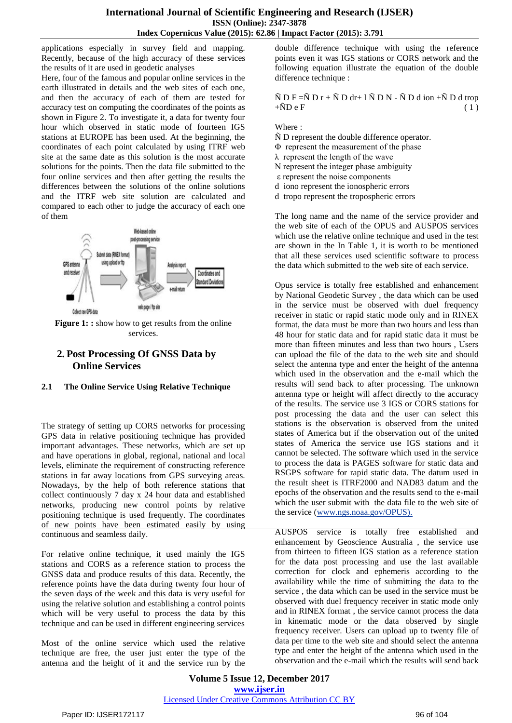applications especially in survey field and mapping. Recently, because of the high accuracy of these services the results of it are used in geodetic analyses

Here, four of the famous and popular online services in the earth illustrated in details and the web sites of each one, and then the accuracy of each of them are tested for accuracy test on computing the coordinates of the points as shown in Figure 2. To investigate it, a data for twenty four hour which observed in static mode of fourteen IGS stations at EUROPE has been used. At the beginning, the coordinates of each point calculated by using ITRF web site at the same date as this solution is the most accurate solutions for the points. Then the data file submitted to the four online services and then after getting the results the differences between the solutions of the online solutions and the ITRF web site solution are calculated and compared to each other to judge the accuracy of each one of them



**Figure 1: :** show how to get results from the online services.

# **2. Post Processing Of GNSS Data by Online Services**

## **2.1 The Online Service Using Relative Technique**

The strategy of setting up CORS networks for processing GPS data in relative positioning technique has provided important advantages. These networks, which are set up and have operations in global, regional, national and local levels, eliminate the requirement of constructing reference stations in far away locations from GPS surveying areas. Nowadays, by the help of both reference stations that collect continuously 7 day x 24 hour data and established networks, producing new control points by relative positioning technique is used frequently. The coordinates of new points have been estimated easily by using continuous and seamless daily.

For relative online technique, it used mainly the IGS stations and CORS as a reference station to process the GNSS data and produce results of this data. Recently, the reference points have the data during twenty four hour of the seven days of the week and this data is very useful for using the relative solution and establishing a control points which will be very useful to process the data by this technique and can be used in different engineering services

Most of the online service which used the relative technique are free, the user just enter the type of the antenna and the height of it and the service run by the double difference technique with using the reference points even it was IGS stations or CORS network and the following equation illustrate the equation of the double difference technique :

#### $\tilde{N}$  D F = $\tilde{N}$  D r +  $\tilde{N}$  D dr+ 1  $\tilde{N}$  D N -  $\tilde{N}$  D d ion + $\tilde{N}$  D d trop  $+\tilde{N}D e F$  (1)

Where :

- Ñ D represent the double difference operator.
- Φ represent the measurement of the phase
- λ represent the length of the wave
- Ν represent the integer phase ambiguity
- ε represent the noise components
- d iono represent the ionospheric errors
- d tropo represent the tropospheric errors

The long name and the name of the service provider and the web site of each of the OPUS and AUSPOS services which use the relative online technique and used in the test are shown in the In Table 1, it is worth to be mentioned that all these services used scientific software to process the data which submitted to the web site of each service.

Opus service is totally free established and enhancement by National Geodetic Survey , the data which can be used in the service must be observed with duel frequency receiver in static or rapid static mode only and in RINEX format, the data must be more than two hours and less than 48 hour for static data and for rapid static data it must be more than fifteen minutes and less than two hours , Users can upload the file of the data to the web site and should select the antenna type and enter the height of the antenna which used in the observation and the e-mail which the results will send back to after processing. The unknown antenna type or height will affect directly to the accuracy of the results. The service use 3 IGS or CORS stations for post processing the data and the user can select this stations is the observation is observed from the united states of America but if the observation out of the united states of America the service use IGS stations and it cannot be selected. The software which used in the service to process the data is PAGES software for static data and RSGPS software for rapid static data. The datum used in the result sheet is ITRF2000 and NAD83 datum and the epochs of the observation and the results send to the e-mail which the user submit with the data file to the web site of the service [\(www.ngs.noaa.gov/OPUS\).](http://www.ngs.noaa.gov/OPUS).)

AUSPOS service is totally free established and enhancement by Geoscience Australia , the service use from thirteen to fifteen IGS station as a reference station for the data post processing and use the last available correction for clock and ephemeris according to the availability while the time of submitting the data to the service , the data which can be used in the service must be observed with duel frequency receiver in static mode only and in RINEX format , the service cannot process the data in kinematic mode or the data observed by single frequency receiver. Users can upload up to twenty file of data per time to the web site and should select the antenna type and enter the height of the antenna which used in the observation and the e-mail which the results will send back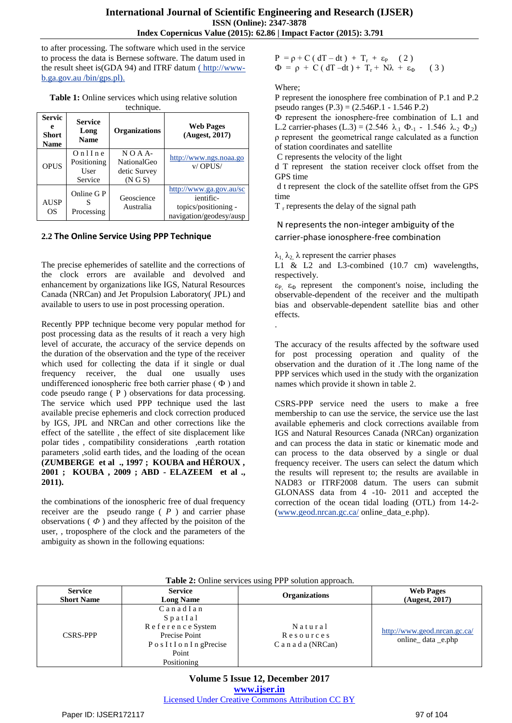to after processing. The software which used in the service to process the data is Bernese software. The datum used in the result sheet is(GDA 94) and ITRF datum [\( http://www](file:///D:/MASTER/14-2-2017/MY%20WORK/Writing/pelgarism/(%20http:/www-b.ga.gov.au%20/bin/gps.pl))[b.ga.gov.au /bin/gps.pl\).](file:///D:/MASTER/14-2-2017/MY%20WORK/Writing/pelgarism/(%20http:/www-b.ga.gov.au%20/bin/gps.pl))

**Table 1:** Online services which using relative solution technique.

| <b>Servic</b><br>e<br><b>Short</b><br><b>Name</b> | <b>Service</b><br>Long<br><b>Name</b>        | <b>Organizations</b>                                         | <b>Web Pages</b><br>(Augest, 2017)                                                      |
|---------------------------------------------------|----------------------------------------------|--------------------------------------------------------------|-----------------------------------------------------------------------------------------|
| <b>OPUS</b>                                       | $On$ l Ine<br>Positioning<br>User<br>Service | $N O A A$ -<br><b>NationalGeo</b><br>detic Survey<br>(N G S) | http://www.ngs.noaa.go<br>$v/$ OPUS/                                                    |
| <b>AUSP</b><br>OS                                 | Online G P<br>Processing                     | Geoscience<br>Australia                                      | http://www.ga.gov.au/sc<br>ientific-<br>topics/positioning -<br>navigation/geodesy/ausp |

### **2.2 The Online Service Using PPP Technique**

The precise ephemerides of satellite and the corrections of the clock errors are available and devolved and enhancement by organizations like IGS, Natural Resources Canada (NRCan) and Jet Propulsion Laboratory( JPL) and available to users to use in post processing operation.

Recently PPP technique become very popular method for post processing data as the results of it reach a very high level of accurate, the accuracy of the service depends on the duration of the observation and the type of the receiver which used for collecting the data if it single or dual frequency receiver, the dual one usually uses undifferenced ionospheric free both carrier phase ( Ф ) and code pseudo range ( P ) observations for data processing. The service which used PPP technique used the last available precise ephemeris and clock correction produced by IGS, JPL and NRCan and other corrections like the effect of the satellite , the effect of site displacement like polar tides , compatibility considerations ,earth rotation parameters ,solid earth tides, and the loading of the ocean **(ZUMBERGE et al ., 1997 ; KOUBA and HÉROUX , 2001 ; KOUBA , 2009 ; ABD - ELAZEEM et al ., 2011).**

the combinations of the ionospheric free of dual frequency receiver are the pseudo range ( *P* ) and carrier phase observations  $(\phi)$  and they affected by the poisiton of the user, , troposphere of the clock and the parameters of the ambiguity as shown in the following equations:

 $P = \rho + C (dT - dt) + T_r + \varepsilon_P$  (2)  $\Phi = \rho + C (dT - dt) + T_r + N\lambda + \varepsilon_{\Phi}$  (3)

#### Where;

.

P represent the ionosphere free combination of P.1 and P.2 pseudo ranges (P.3) = (2.546P.1 - 1.546 P.2)

Ф represent the ionosphere-free combination of L.1 and L.2 carrier-phases (L.3) = (2.546  $\lambda_1 \Phi_{-1}$  - 1.546  $\lambda_2 \Phi_{-2}$ ) ρ represent the geometrical range calculated as a function of station coordinates and satellite

C represents the velocity of the light

d T represent the station receiver clock offset from the GPS time

d t represent the clock of the satellite offset from the GPS time

 $T<sub>r</sub>$  represents the delay of the signal path

## N represents the non-integer ambiguity of the carrier-phase ionosphere-free combination

 $λ_1$ ,  $λ_2$ ,  $λ$  represent the carrier phases

L1 & L2 and L3-combined (10.7 cm) wavelengths, respectively.

 $\epsilon_{P_1}$ ,  $\epsilon_{\Phi}$  represent the component's noise, including the observable-dependent of the receiver and the multipath bias and observable-dependent satellite bias and other effects.

The accuracy of the results affected by the software used for post processing operation and quality of the observation and the duration of it .The long name of the PPP services which used in the study with the organization names which provide it shown in table 2.

CSRS-PPP service need the users to make a free membership to can use the service, the service use the last available ephemeris and clock corrections available from IGS and Natural Resources Canada (NRCan) organization and can process the data in static or kinematic mode and can process to the data observed by a single or dual frequency receiver. The users can select the datum which the results will represent to; the results are available in NAD83 or ITRF2008 datum. The users can submit GLONASS data from 4 -10- 2011 and accepted the correction of the ocean tidal loading (OTL) from 14-2- [\(www.geod.nrcan.gc.ca/](http://www.geod.nrcan.gc.ca/) online\_data\_e.php).

|                                                                           | $\frac{1}{2}$ and $\frac{1}{2}$ comme set these asing $\frac{1}{2}$ is a solution approach.                              |                                               |                                                   |  |  |  |  |  |
|---------------------------------------------------------------------------|--------------------------------------------------------------------------------------------------------------------------|-----------------------------------------------|---------------------------------------------------|--|--|--|--|--|
| <b>Service</b><br><b>Service</b><br><b>Short Name</b><br><b>Long Name</b> |                                                                                                                          | <b>Organizations</b>                          | <b>Web Pages</b><br>(Augest, 2017)                |  |  |  |  |  |
| <b>CSRS-PPP</b>                                                           | $C$ anad I an<br>$S$ p at I a $l$<br>Reference System<br>Precise Point<br>Pos It I on IngPrecise<br>Point<br>Positioning | Natural<br>Resources<br>$C$ a n a d a (NRCan) | http://www.geod.nrcan.gc.ca/<br>online_data_e.php |  |  |  |  |  |

**Table 2:** Online services using PPP solution approach.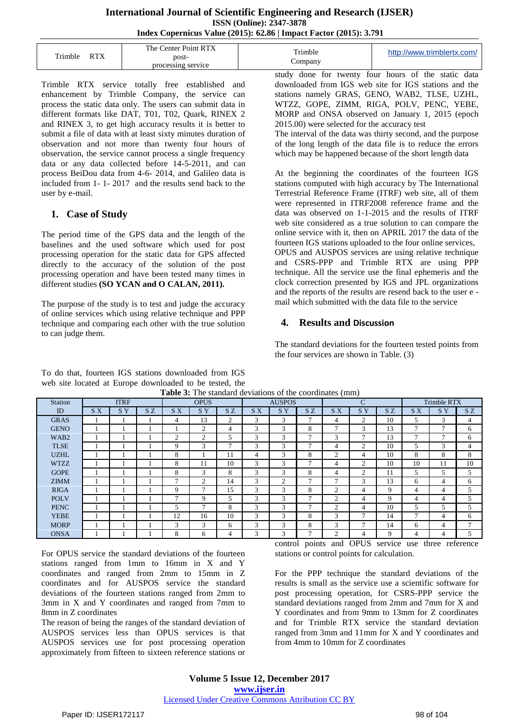#### **International Journal of Scientific Engineering and Research (IJSER) ISSN (Online): 2347-3878 Index Copernicus Value (2015): 62.86 | Impact Factor (2015): 3.791**

| DTV<br>Trimble | The Center Point RTX<br>post-<br>processing service | Trimble<br>$\mathcal{L}$ ompan $\mathbf{v}$ | http://www.trimblertx.com/ |
|----------------|-----------------------------------------------------|---------------------------------------------|----------------------------|
|                |                                                     | $\sim$<br>$\sim$                            | $\sim$ $\sim$              |

Trimble RTX service totally free established and enhancement by Trimble Company, the service can process the static data only. The users can submit data in different formats like DAT, T01, T02, Quark, RINEX 2 and RINEX 3, to get high accuracy results it is better to submit a file of data with at least sixty minutes duration of observation and not more than twenty four hours of observation, the service cannot process a single frequency data or any data collected before 14-5-2011, and can process BeiDou data from 4-6- 2014, and Galileo data is included from 1- 1- 2017 and the results send back to the user by e-mail.

## **1. Case of Study**

The period time of the GPS data and the length of the baselines and the used software which used for post processing operation for the static data for GPS affected directly to the accuracy of the solution of the post processing operation and have been tested many times in different studies **(SO YCAN and O CALAN, 2011).** 

The purpose of the study is to test and judge the accuracy of online services which using relative technique and PPP technique and comparing each other with the true solution to can judge them.

To do that, fourteen IGS stations downloaded from IGS web site located at Europe downloaded to be tested, the **Table 3:** The standard deviations of the coordinates (mm)

study done for twenty four hours of the static data downloaded from IGS web site for IGS stations and the stations namely GRAS, GENO, WAB2, TLSE, UZHL, WTZZ, GOPE, ZIMM, RIGA, POLV, PENC, YEBE, MORP and ONSA observed on January 1, 2015 (epoch 2015.00) were selected for the accuracy test

The interval of the data was thirty second, and the purpose of the long length of the data file is to reduce the errors which may be happened because of the short length data

At the beginning the coordinates of the fourteen IGS stations computed with high accuracy by The International Terrestrial Reference Frame (ITRF) web site, all of them were represented in ITRF2008 reference frame and the data was observed on 1-1-2015 and the results of ITRF web site considered as a true solution to can compare the online service with it, then on APRIL 2017 the data of the fourteen IGS stations uploaded to the four online services, OPUS and AUSPOS services are using relative technique and CSRS-PPP and Trimble RTX are using PPP technique. All the service use the final ephemeris and the clock correction presented by IGS and JPL organizations and the reports of the results are resend back to the user e mail which submitted with the data file to the service

## **4. Results and Discussion**

The standard deviations for the fourteen tested points from the four services are shown in Table. (3)

| <b>Table 5.</b> The standard deviations of the coordinates (film) |     |                 |    |     |                 |                |     |                 |     |                |                 |    |               |                    |               |
|-------------------------------------------------------------------|-----|-----------------|----|-----|-----------------|----------------|-----|-----------------|-----|----------------|-----------------|----|---------------|--------------------|---------------|
| <b>Station</b>                                                    |     | <b>ITRF</b>     |    |     | <b>OPUS</b>     |                |     | <b>AUSPOS</b>   |     |                | $\mathcal{C}$   |    |               | <b>Trimble RTX</b> |               |
| ID                                                                | S X | SY <sub>1</sub> | SZ | S X | SY <sub>1</sub> | SZ             | S X | SY <sub>1</sub> | SZ. | S X            | SY <sub>1</sub> | SZ | SX.           | S Y                | SZ            |
| <b>GRAS</b>                                                       |     |                 |    | 4   | 13              | 2              | 3   | 3               | ┑   | 4              | 2               | 10 | 5             | 3                  | 4             |
| <b>GENO</b>                                                       |     |                 |    |     | 2               | 4              | 3   | 3               | 8   | 7              | 3               | 13 | $\mathcal{I}$ | 7                  | 6             |
| WAB <sub>2</sub>                                                  |     |                 |    | 2   | 2               | 5              | 3   | 3               |     | 3              | 7               | 13 | $\mathcal{I}$ | 7                  | 6             |
| <b>TLSE</b>                                                       |     |                 |    | 9   | 3               | $\overline{7}$ | 3   | 3               |     | 4              | 2               | 10 | 5             | 3                  | 4             |
| <b>UZHL</b>                                                       |     |                 |    | 8   |                 | 11             | 4   | 3               | 8   | 2              | 4               | 10 | 8             | 8                  | 8             |
| <b>WTZZ</b>                                                       |     |                 |    | 8   | 11              | 10             | 3   | 3               | ⇁   | 4              | 2               | 10 | 10            | 11                 | 10            |
| <b>GOPE</b>                                                       |     |                 |    | 8   | 3               | 8              | 3   | 3               | 8   | 4              | $\overline{c}$  | 11 | 5             | 5                  | 5             |
| <b>ZIMM</b>                                                       |     |                 |    | Ξ   | 2               | 14             | 3   | $\overline{c}$  |     | $\mathcal{I}$  | 3               | 13 | 6             | 4                  | 6             |
| <b>RIGA</b>                                                       |     |                 |    | 9   | $\mathcal{I}$   | 15             | 3   | 3               | 8   | $\overline{2}$ | 4               | 9  | 4             | 4                  | 5             |
| <b>POLV</b>                                                       |     |                 |    | Ξ   | 9               | 5              | 3   | 3               | ⇁   | 2              | 4               | 9  | 4             | 4                  | 5             |
| <b>PENC</b>                                                       |     |                 |    | 5   | ⇁               | 8              | 3   | 3               | −   | 2              | 4               | 10 | 5             | 5                  | 5             |
| <b>YEBE</b>                                                       |     |                 |    | 12  | 16              | 10             | 3   | 3               | 8   | 3              | $\mathcal{L}$   | 14 | 7             | 4                  | 6             |
| <b>MORP</b>                                                       |     |                 |    | 3   | 3               | 6              | 3   | 3               | 8   | 3              | $\mathcal{L}$   | 14 | 6             | 4                  | $\mathcal{I}$ |
| <b>ONSA</b>                                                       |     |                 |    | 8   | 6               | 4              | 3   | 3               |     | 2              | 4               | 9  | 4             | 4                  | 5             |

For OPUS service the standard deviations of the fourteen stations ranged from 1mm to 16mm in X and Y coordinates and ranged from 2mm to 15mm in Z coordinates and for AUSPOS service the standard deviations of the fourteen stations ranged from 2mm to 3mm in X and Y coordinates and ranged from 7mm to 8mm in Z coordinates

The reason of being the ranges of the standard deviation of AUSPOS services less than OPUS services is that AUSPOS services use for post processing operation approximately from fifteen to sixteen reference stations or

control points and OPUS service use three reference stations or control points for calculation.

For the PPP technique the standard deviations of the results is small as the service use a scientific software for post processing operation, for CSRS-PPP service the standard deviations ranged from 2mm and 7mm for X and Y coordinates and from 9mm to 13mm for Z coordinates and for Trimble RTX service the standard deviation ranged from 3mm and 11mm for X and Y coordinates and from 4mm to 10mm for Z coordinates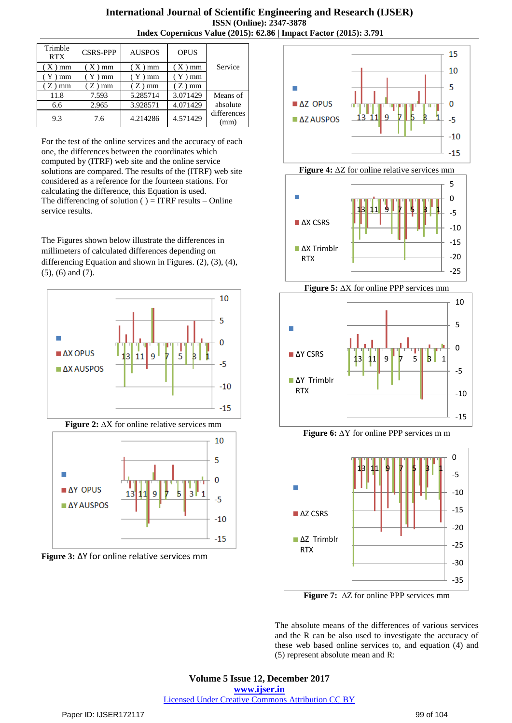## **International Journal of Scientific Engineering and Research (IJSER) ISSN (Online): 2347-3878 Index Copernicus Value (2015): 62.86 | Impact Factor (2015): 3.791**

| Trimble<br><b>RTX</b> | <b>CSRS-PPP</b> | <b>AUSPOS</b> | <b>OPUS</b> |                     |
|-----------------------|-----------------|---------------|-------------|---------------------|
| $(X)$ mm              | $(X)$ mm        | $(X)$ mm      | $(X)$ mm    | Service             |
| $(Y)$ mm              | $(Y)$ mm        | $(Y)$ mm      | $(Y)$ mm    |                     |
| $Z$ ) mm              | $(Z)$ mm        | $(Z)$ mm      | $(Z)$ mm    |                     |
| 11.8                  | 7.593           | 5.285714      | 3.071429    | Means of            |
| 6.6                   | 2.965           | 3.928571      | 4.071429    | absolute            |
| 9.3                   | 7.6             | 4.214286      | 4.571429    | differences<br>(mm) |

For the test of the online services and the accuracy of each one, the differences between the coordinates which computed by (ITRF) web site and the online service solutions are compared. The results of the (ITRF) web site considered as a reference for the fourteen stations. For calculating the difference, this Equation is used. The differencing of solution ( $) = ITRF$  results – Online service results.

The Figures shown below illustrate the differences in millimeters of calculated differences depending on differencing Equation and shown in Figures. (2), (3), (4), (5), (6) and (7).











**Figure 5:** ∆X for online PPP services mm







**Figure 7:** ∆Z for online PPP services mm

The absolute means of the differences of various services and the R can be also used to investigate the accuracy of these web based online services to, and equation (4) and (5) represent absolute mean and R: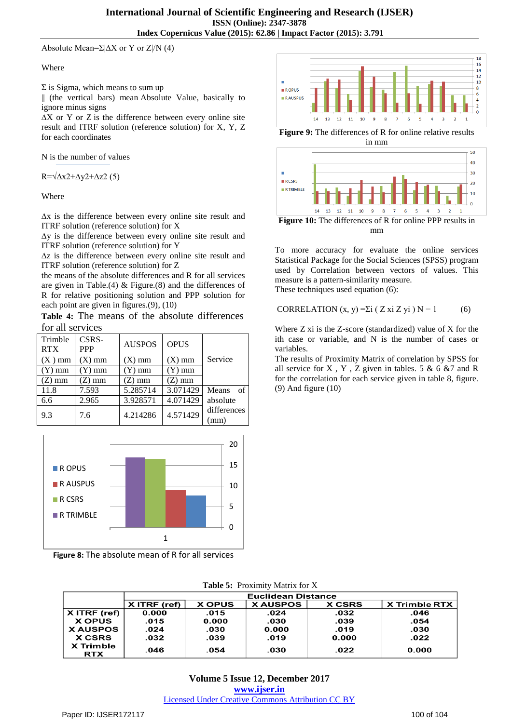Absolute Mean= $\Sigma$ | $\Delta$ X or Y or Z|/N (4)

#### Where

 $\Sigma$  is [Sigma,](https://www.mathsisfun.com/algebra/sigma-notation.html) which means to sum up

|| (the vertical bars) mean [Absolute Value,](https://www.mathsisfun.com/numbers/absolute-value.html) basically to ignore minus signs

∆X or Y or Z is the difference between every online site result and ITRF solution (reference solution) for X, Y, Z for each coordinates

N is the number of values

 $R=\sqrt{\Delta x^2+\Delta y^2+\Delta z^2}$  (5)

Where

∆x is the difference between every online site result and ITRF solution (reference solution) for X

∆y is the difference between every online site result and ITRF solution (reference solution) for Y

∆z is the difference between every online site result and ITRF solution (reference solution) for Z

the means of the absolute differences and R for all services are given in Table.(4) & Figure.(8) and the differences of R for relative positioning solution and PPP solution for each point are given in figures.(9), (10)

**Table 4:** The means of the absolute differences for all services

| Trimble<br><b>RTX</b> | CSRS-<br><b>PPP</b> | <b>AUSPOS</b> | <b>OPUS</b> |                     |
|-----------------------|---------------------|---------------|-------------|---------------------|
| $(X)$ mm              | $(X)$ mm            | $(X)$ mm      | $(X)$ mm    | Service             |
| $(Y)$ mm              | Y) mm               | $(Y)$ mm      | $(Y)$ mm    |                     |
| (Z) mm                | Z) mm               | (Z) mm        | (Z) mm      |                     |
| 11.8                  | 7.593               | 5.285714      | 3.071429    | <b>Means</b><br>of  |
| 6.6                   | 2.965               | 3.928571      | 4.071429    | absolute            |
| 9.3                   | 7.6                 | 4.214286      | 4.571429    | differences<br>(mm) |



**Figure 8:** The absolute mean of R for all services



**Figure 9:** The differences of R for online relative results in mm



To more accuracy for evaluate the online services Statistical Package for the Social Sciences (SPSS) program used by Correlation between vectors of values. This measure is a pattern-similarity measure. These techniques used equation (6):

CORRELATION (x, y) =
$$
\Sigma i
$$
 ( Z xi Z yi ) N – 1 (6)

Where Z xi is the Z-score (standardized) value of X for the ith case or variable, and N is the number of cases or variables.

The results of Proximity Matrix of correlation by SPSS for all service for X, Y, Z given in tables.  $5 \& 6 \& 7$  and R for the correlation for each service given in table 8, figure. (9) And figure (10)

|                                | Euclidean Distance |               |                |               |                      |  |
|--------------------------------|--------------------|---------------|----------------|---------------|----------------------|--|
|                                | $X$ ITRF (ref)     | <b>X OPUS</b> | <b>XAUSPOS</b> | <b>X CSRS</b> | <b>X Trimble RTX</b> |  |
| $X$ ITRF (ref)                 | 0.000              | .015          | .024           | .032          | .046                 |  |
| <b>X OPUS</b>                  | .015               | 0.000         | .030           | .039          | .054                 |  |
| <b>XAUSPOS</b>                 | .024               | .030          | 0.000          | .019          | .030                 |  |
| <b>X CSRS</b>                  | .032               | .039          | .019           | 0.000         | .022                 |  |
| <b>X</b> Trimble<br><b>RTX</b> | .046               | .054          | .030           | .022          | 0.000                |  |

**Volume 5 Issue 12, December 2017 www.ijser.in**

Licensed Under Creative Commons Attribution CC BY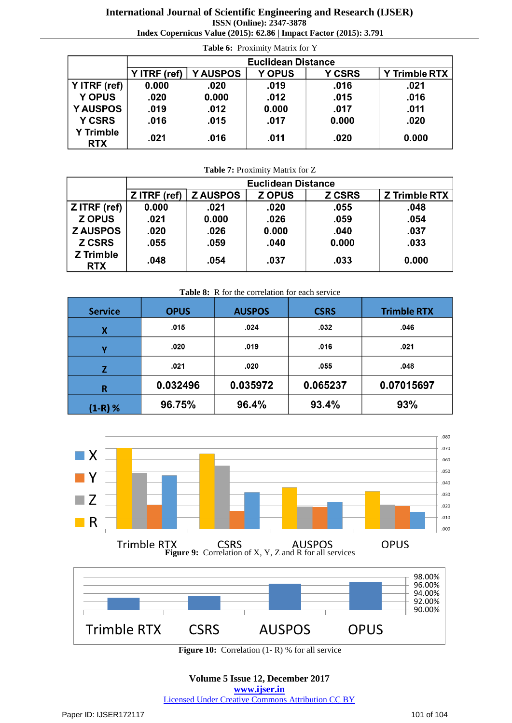### **International Journal of Scientific Engineering and Research (IJSER) ISSN (Online): 2347-3878**

**Index Copernicus Value (2015): 62.86 | Impact Factor (2015): 3.791**

| Table 6: Proximity Matrix for Y |                           |                |               |               |                      |  |
|---------------------------------|---------------------------|----------------|---------------|---------------|----------------------|--|
|                                 | <b>Euclidean Distance</b> |                |               |               |                      |  |
|                                 | Y ITRF (ref)              | <b>YAUSPOS</b> | <b>Y OPUS</b> | <b>Y CSRS</b> | <b>Y Trimble RTX</b> |  |
| Y ITRF (ref)                    | 0.000                     | .020           | .019          | .016          | .021                 |  |
| <b>Y OPUS</b>                   | .020                      | 0.000          | .012          | .015          | .016                 |  |
| <b>YAUSPOS</b>                  | .019                      | .012           | 0.000         | .017          | .011                 |  |
| <b>Y CSRS</b>                   | .016                      | .015           | .017          | 0.000         | .020                 |  |
| <b>Y Trimble</b><br><b>RTX</b>  | .021                      | .016           | .011          | .020          | 0.000                |  |

**Table 7:** Proximity Matrix for Z

|                                | <b>Euclidean Distance</b> |                |               |               |               |  |
|--------------------------------|---------------------------|----------------|---------------|---------------|---------------|--|
|                                | Z ITRF (ref)              | <b>ZAUSPOS</b> | <b>Z OPUS</b> | <b>Z CSRS</b> | Z Trimble RTX |  |
| Z ITRF (ref)                   | 0.000                     | .021           | .020          | .055          | .048          |  |
| <b>Z OPUS</b>                  | .021                      | 0.000          | .026          | .059          | .054          |  |
| <b>ZAUSPOS</b>                 | .020                      | .026           | 0.000         | .040          | .037          |  |
| <b>Z CSRS</b>                  | .055                      | .059           | .040          | 0.000         | .033          |  |
| <b>Z</b> Trimble<br><b>RTX</b> | .048                      | .054           | .037          | .033          | 0.000         |  |

| Table 8: R for the correlation for each service |             |               |             |                    |  |  |  |
|-------------------------------------------------|-------------|---------------|-------------|--------------------|--|--|--|
| <b>Service</b>                                  | <b>OPUS</b> | <b>AUSPOS</b> | <b>CSRS</b> | <b>Trimble RTX</b> |  |  |  |
| X                                               | .015        | .024          | .032        | .046               |  |  |  |
|                                                 | .020        | .019          | .016        | .021               |  |  |  |
|                                                 | .021        | .020          | .055        | .048               |  |  |  |
| R                                               | 0.032496    | 0.035972      | 0.065237    | 0.07015697         |  |  |  |
| $(1-R)$ %                                       | 96.75%      | 96.4%         | 93.4%       | 93%                |  |  |  |



**Figure 10:** Correlation (1- R) % for all service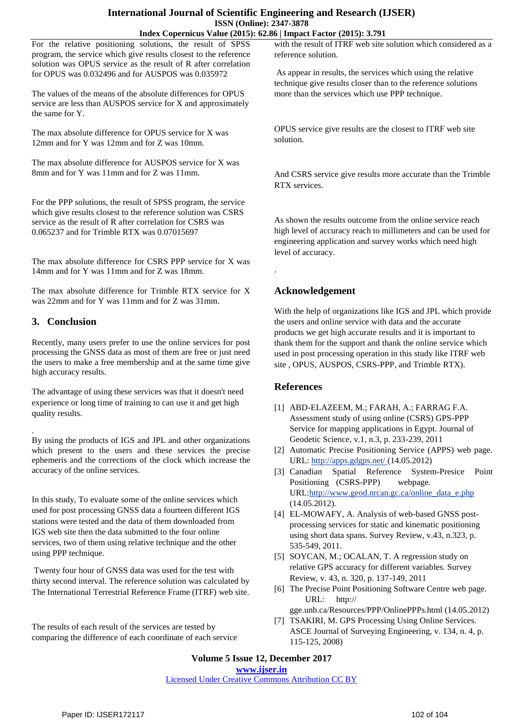#### **International Journal of Scientific Engineering and Research (IJSER) ISSN (Online): 2347-3878 Index Copernicus Value (2015): 62.86 | Impact Factor (2015): 3.791**

For the relative positioning solutions, the result of SPSS program, the service which give results closest to the reference solution was OPUS service as the result of R after correlation for OPUS was 0.032496 and for AUSPOS was 0.035972

The values of the means of the absolute differences for OPUS service are less than AUSPOS service for X and approximately the same for Y.

The max absolute difference for OPUS service for X was 12mm and for Y was 12mm and for Z was 10mm.

The max absolute difference for AUSPOS service for X was 8mm and for Y was 11mm and for Z was 11mm.

For the PPP solutions, the result of SPSS program, the service which give results closest to the reference solution was CSRS service as the result of R after correlation for CSRS was 0.065237 and for Trimble RTX was 0.07015697

The max absolute difference for CSRS PPP service for X was 14mm and for Y was 11mm and for Z was 18mm.

The max absolute difference for Trimble RTX service for X was 22mm and for Y was 11mm and for Z was 31mm.

# **3. Conclusion**

Recently, many users prefer to use the online services for post processing the GNSS data as most of them are free or just need the users to make a free membership and at the same time give high accuracy results.

The advantage of using these services was that it doesn't need experience or long time of training to can use it and get high quality results.

. By using the products of IGS and JPL and other organizations which present to the users and these services the precise ephemeris and the corrections of the clock which increase the accuracy of the online services.

In this study, To evaluate some of the online services which used for post processing GNSS data a fourteen different IGS stations were tested and the data of them downloaded from IGS web site then the data submitted to the four online services, two of them using relative technique and the other using PPP technique.

Twenty four hour of GNSS data was used for the test with thirty second interval. The reference solution was calculated by The International Terrestrial Reference Frame (ITRF) web site.

The results of each result of the services are tested by comparing the difference of each coordinate of each service

with the result of ITRF web site solution which considered as a reference solution.

As appear in results, the services which using the relative technique give results closer than to the reference solutions more than the services which use PPP technique.

OPUS service give results are the closest to ITRF web site solution.

And CSRS service give results more accurate than the Trimble RTX services.

As shown the results outcome from the online service reach high level of accuracy reach to millimeters and can be used for engineering application and survey works which need high level of accuracy.

# **Acknowledgement**

.

With the help of organizations like IGS and JPL which provide the users and online service with data and the accurate products we get high accurate results and it is important to thank them for the support and thank the online service which used in post processing operation in this study like ITRF web site , OPUS, AUSPOS, CSRS-PPP, and Trimble RTX).

## **References**

- [1] ABD-ELAZEEM, M.; FARAH, A.; FARRAG F.A. Assessment study of using online (CSRS) GPS-PPP Service for mapping applications in Egypt. Journal of Geodetic Science, v.1, n.3, p. 233-239, 2011
- [2] Automatic Precise Positioning Service (APPS) web page. URL:<http://apps.gdgps.net/> (14.05.2012)
- [3] Canadian Spatial Reference System-Presice Point Positioning (CSRS-PPP) webpage. UR[L:http://www.geod.nrcan.gc.ca/online\\_data\\_e.php](http://www.geod.nrcan.gc.ca/online_data_e.php) (14.05.2012).
- [4] EL-MOWAFY, A. Analysis of web-based GNSS postprocessing services for static and kinematic positioning using short data spans. Survey Review, v.43, n.323, p. 535-549, 2011.
- [5] SOYCAN, M.; OCALAN, T. A regression study on relative GPS accuracy for different variables. Survey Review, v. 43, n. 320, p. 137-149, 2011
- [6] The Precise Point Positioning Software Centre web page. URL: http://
- gge.unb.ca/Resources/PPP/OnlinePPPs.html (14.05.2012) [7] TSAKIRI, M. GPS Processing Using Online Services. ASCE Journal of Surveying Engineering, v. 134, n. 4, p.

**Volume 5 Issue 12, December 2017 www.ijser.in**

115-125, 2008)

Licensed Under Creative Commons Attribution CC BY